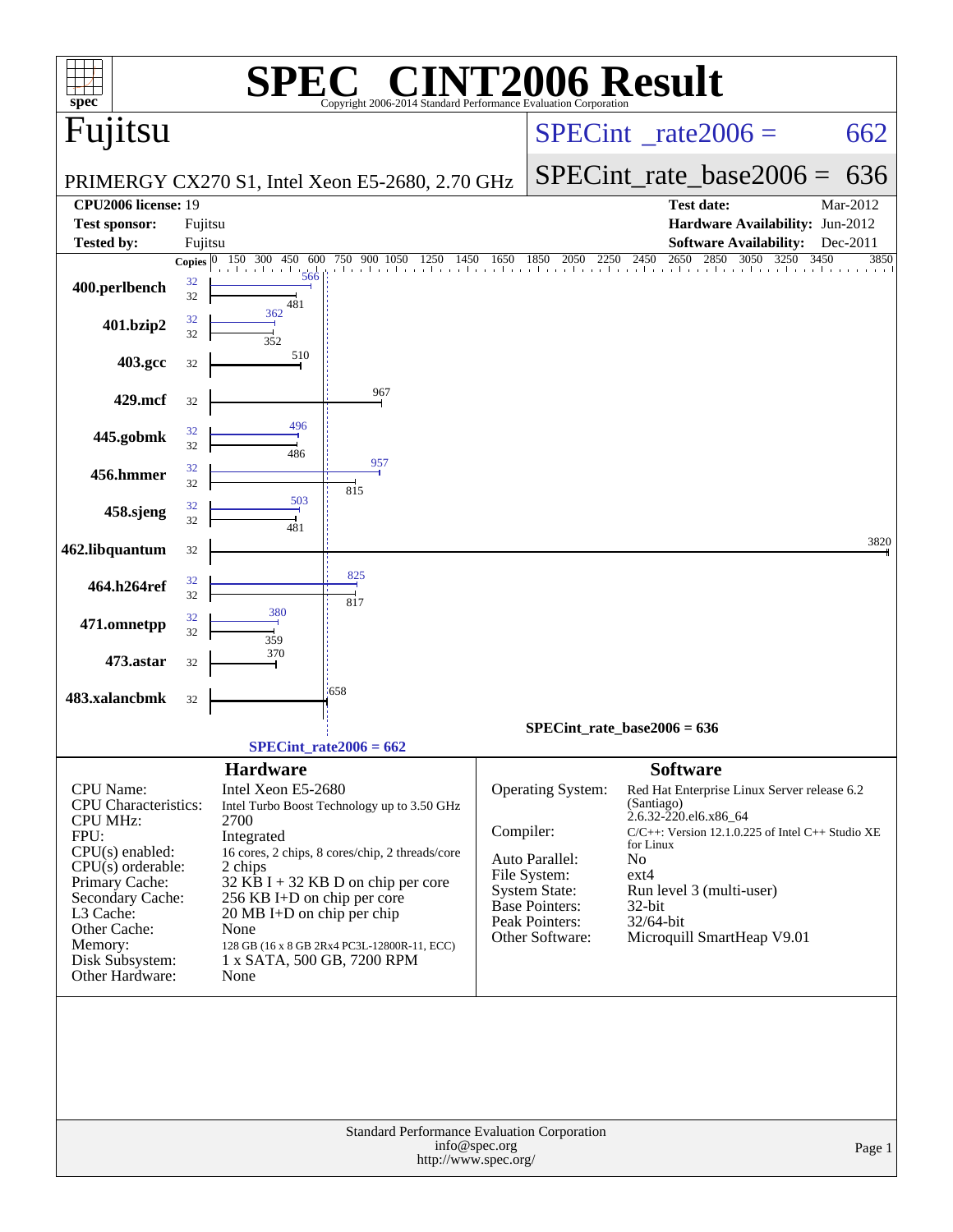| $spec^*$                                                                                                                                                           |                         | SPJ                                                                                                              | $\blacksquare$<br>Copyright 2006-2014 Standard Performance Evaluation Corporation                                                      |               |                                                                                               | <b>F2006 Result</b>                                                                                                                                                                                         |                          |
|--------------------------------------------------------------------------------------------------------------------------------------------------------------------|-------------------------|------------------------------------------------------------------------------------------------------------------|----------------------------------------------------------------------------------------------------------------------------------------|---------------|-----------------------------------------------------------------------------------------------|-------------------------------------------------------------------------------------------------------------------------------------------------------------------------------------------------------------|--------------------------|
| Fujitsu                                                                                                                                                            |                         |                                                                                                                  |                                                                                                                                        |               |                                                                                               | $SPECint^{\circ}$ rate $2006 =$                                                                                                                                                                             | 662                      |
|                                                                                                                                                                    |                         |                                                                                                                  | PRIMERGY CX270 S1, Intel Xeon E5-2680, 2.70 GHz                                                                                        |               |                                                                                               | $SPECint_rate\_base2006 =$                                                                                                                                                                                  | 636                      |
| <b>CPU2006 license: 19</b>                                                                                                                                         |                         |                                                                                                                  |                                                                                                                                        |               |                                                                                               | <b>Test date:</b>                                                                                                                                                                                           | Mar-2012                 |
| <b>Test sponsor:</b>                                                                                                                                               | Fujitsu                 |                                                                                                                  |                                                                                                                                        |               |                                                                                               | Hardware Availability: Jun-2012                                                                                                                                                                             |                          |
| Tested by:                                                                                                                                                         | Fujitsu<br>Copies $ 0 $ | 150 300<br>600<br>450                                                                                            | 750 900 1050<br>1250<br>1450                                                                                                           | 1650          | 1850<br>2050<br>2250                                                                          | <b>Software Availability:</b><br>2650<br>3050<br>2450<br>2850<br>3250                                                                                                                                       | Dec-2011<br>3450<br>3850 |
| 400.perlbench                                                                                                                                                      | 32<br>32                | 566<br>481                                                                                                       |                                                                                                                                        |               |                                                                                               | and the continued and the control                                                                                                                                                                           |                          |
| 401.bzip2                                                                                                                                                          | 32<br>32                | 362<br>352                                                                                                       |                                                                                                                                        |               |                                                                                               |                                                                                                                                                                                                             |                          |
| 403.gcc                                                                                                                                                            | 32                      | 510                                                                                                              |                                                                                                                                        |               |                                                                                               |                                                                                                                                                                                                             |                          |
| 429.mcf                                                                                                                                                            | 32                      |                                                                                                                  | 967                                                                                                                                    |               |                                                                                               |                                                                                                                                                                                                             |                          |
| 445.gobmk                                                                                                                                                          | 32<br>32                | 496<br>486                                                                                                       |                                                                                                                                        |               |                                                                                               |                                                                                                                                                                                                             |                          |
| 456.hmmer                                                                                                                                                          | 32<br>32                |                                                                                                                  | 957<br>815                                                                                                                             |               |                                                                                               |                                                                                                                                                                                                             |                          |
| 458.sjeng                                                                                                                                                          | 32<br>32                | 503<br>481                                                                                                       |                                                                                                                                        |               |                                                                                               |                                                                                                                                                                                                             |                          |
| 462.libquantum                                                                                                                                                     | 32                      |                                                                                                                  |                                                                                                                                        |               |                                                                                               |                                                                                                                                                                                                             | 3820                     |
| 464.h264ref                                                                                                                                                        | 32<br>32                |                                                                                                                  | 825<br>817                                                                                                                             |               |                                                                                               |                                                                                                                                                                                                             |                          |
| 471.omnetpp                                                                                                                                                        | 32<br>32                | 380<br>359                                                                                                       |                                                                                                                                        |               |                                                                                               |                                                                                                                                                                                                             |                          |
| 473.astar                                                                                                                                                          | 32                      | 370                                                                                                              |                                                                                                                                        |               |                                                                                               |                                                                                                                                                                                                             |                          |
| 483.xalancbmk                                                                                                                                                      | 32                      |                                                                                                                  | 1658                                                                                                                                   |               |                                                                                               |                                                                                                                                                                                                             |                          |
|                                                                                                                                                                    |                         |                                                                                                                  | $SPECint_rate2006 = 662$                                                                                                               |               |                                                                                               | $SPECint_rate_base2006 = 636$                                                                                                                                                                               |                          |
|                                                                                                                                                                    |                         | <b>Hardware</b>                                                                                                  |                                                                                                                                        |               |                                                                                               | <b>Software</b>                                                                                                                                                                                             |                          |
| CPU Name:<br><b>CPU</b> Characteristics:<br><b>CPU MHz:</b><br>FPU:<br>$CPU(s)$ enabled:<br>$CPU(s)$ orderable:<br>Primary Cache:<br>Secondary Cache:<br>L3 Cache: |                         | Intel Xeon E5-2680<br>2700<br>Integrated<br>2 chips<br>256 KB I+D on chip per core<br>20 MB I+D on chip per chip | Intel Turbo Boost Technology up to 3.50 GHz<br>16 cores, 2 chips, 8 cores/chip, 2 threads/core<br>$32$ KB I + 32 KB D on chip per core | Compiler:     | Operating System:<br>Auto Parallel:<br>File System:<br>System State:<br><b>Base Pointers:</b> | Red Hat Enterprise Linux Server release 6.2<br>(Santiago)<br>2.6.32-220.el6.x86_64<br>C/C++: Version 12.1.0.225 of Intel C++ Studio XE<br>for Linux<br>No<br>$ext{4}$<br>Run level 3 (multi-user)<br>32-bit |                          |
| Other Cache:<br>Memory:<br>Disk Subsystem:<br>Other Hardware:                                                                                                      |                         | None<br>1 x SATA, 500 GB, 7200 RPM<br>None                                                                       | 128 GB (16 x 8 GB 2Rx4 PC3L-12800R-11, ECC)                                                                                            |               | Peak Pointers:<br>Other Software:                                                             | 32/64-bit<br>Microquill SmartHeap V9.01                                                                                                                                                                     |                          |
|                                                                                                                                                                    |                         |                                                                                                                  | Standard Performance Evaluation Corporation<br>http://www.spec.org/                                                                    | info@spec.org |                                                                                               |                                                                                                                                                                                                             | Page 1                   |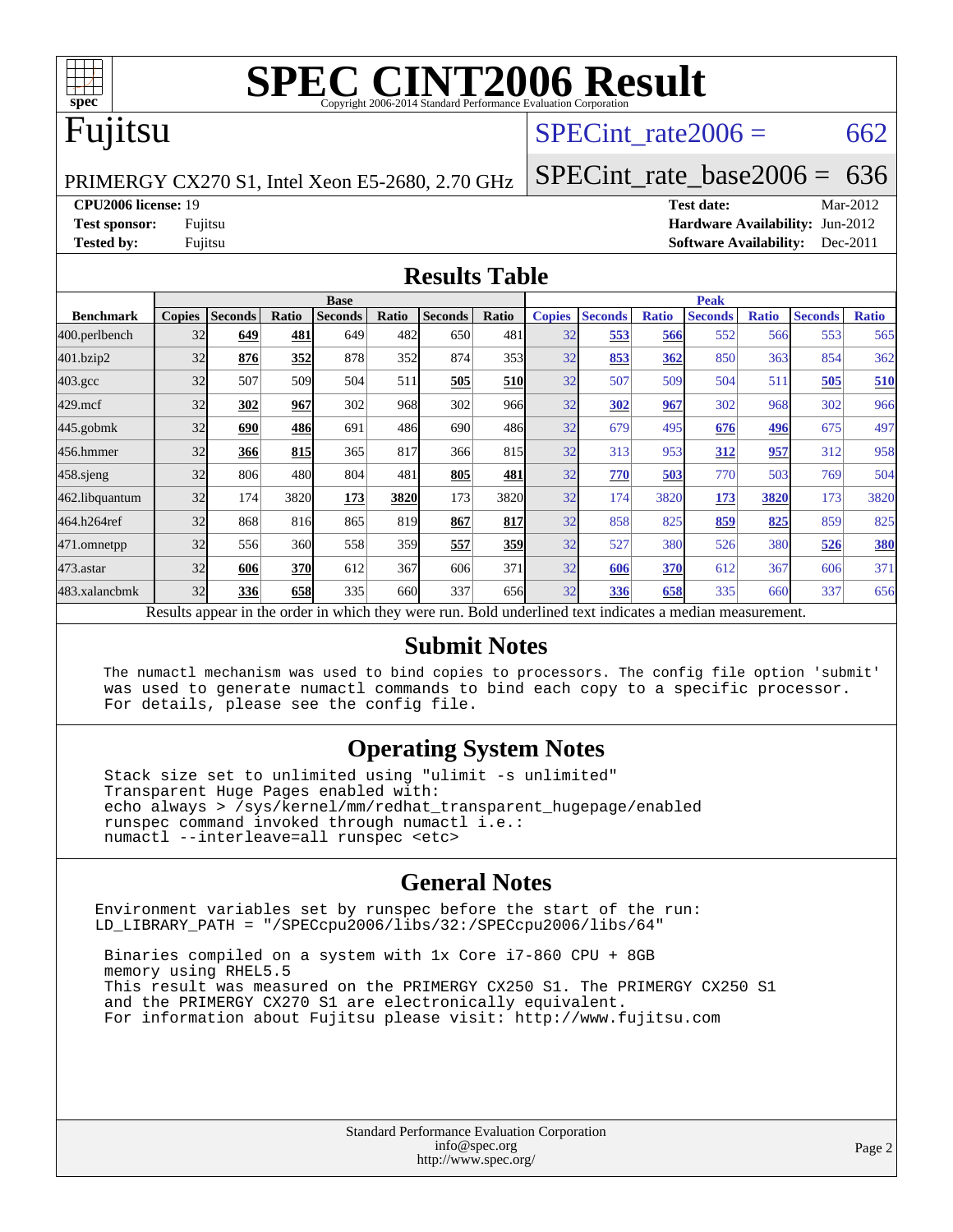

# **[SPEC CINT2006 Result](http://www.spec.org/auto/cpu2006/Docs/result-fields.html#SPECCINT2006Result)**

# Fujitsu

## SPECint rate  $2006 = 662$

PRIMERGY CX270 S1, Intel Xeon E5-2680, 2.70 GHz

[SPECint\\_rate\\_base2006 =](http://www.spec.org/auto/cpu2006/Docs/result-fields.html#SPECintratebase2006) 636 **[CPU2006 license:](http://www.spec.org/auto/cpu2006/Docs/result-fields.html#CPU2006license)** 19 **[Test date:](http://www.spec.org/auto/cpu2006/Docs/result-fields.html#Testdate)** Mar-2012

**[Test sponsor:](http://www.spec.org/auto/cpu2006/Docs/result-fields.html#Testsponsor)** Fujitsu **[Hardware Availability:](http://www.spec.org/auto/cpu2006/Docs/result-fields.html#HardwareAvailability)** Jun-2012 **[Tested by:](http://www.spec.org/auto/cpu2006/Docs/result-fields.html#Testedby)** Fujitsu **[Software Availability:](http://www.spec.org/auto/cpu2006/Docs/result-fields.html#SoftwareAvailability)** Dec-2011

#### **[Results Table](http://www.spec.org/auto/cpu2006/Docs/result-fields.html#ResultsTable)**

|                    | <b>Base</b>                                                                                              |                |       |                |       |                |            | <b>Peak</b>   |                |              |                |              |                |              |
|--------------------|----------------------------------------------------------------------------------------------------------|----------------|-------|----------------|-------|----------------|------------|---------------|----------------|--------------|----------------|--------------|----------------|--------------|
| <b>Benchmark</b>   | <b>Copies</b>                                                                                            | <b>Seconds</b> | Ratio | <b>Seconds</b> | Ratio | <b>Seconds</b> | Ratio      | <b>Copies</b> | <b>Seconds</b> | <b>Ratio</b> | <b>Seconds</b> | <b>Ratio</b> | <b>Seconds</b> | <b>Ratio</b> |
| 400.perlbench      | 32                                                                                                       | 649            | 481   | 649            | 482   | 650            | 481        | 32            | 553            | 566          | 552            | 566          | 553            | 565          |
| 401.bzip2          | 32                                                                                                       | 876            | 352   | 878            | 352   | 874            | 353        | 32            | 853            | 362          | 850            | 363          | 854            | 362          |
| $403.\mathrm{gcc}$ | 32                                                                                                       | 507            | 509   | 504            | 511   | 505            | <b>510</b> | 32            | 507            | 509          | 504            | 511          | 505            | 510          |
| $429$ .mcf         | 32                                                                                                       | 302            | 967   | 302            | 968   | 302            | 966        | 32            | 302            | 967          | 302            | 968          | 302            | 966          |
| $445$ .gobmk       | 32                                                                                                       | 690            | 486   | 691            | 486   | 690            | 486        | 32            | 679            | 495          | 676            | <u>496</u>   | 675            | 497          |
| 456.hmmer          | 32                                                                                                       | 366            | 815   | 365            | 817   | 366            | 815        | 32            | 313            | 953          | 312            | 957          | 312            | 958          |
| $458$ .sjeng       | 32                                                                                                       | 806            | 480   | 804            | 481   | 805            | 481        | 32            | 770            | 503          | 770            | 503          | 769            | 504          |
| 462.libquantum     | 32                                                                                                       | 174            | 3820  | 173            | 3820  | 173            | 3820       | 32            | 174            | 3820         | 173            | 3820         | 173            | 3820         |
| 464.h264ref        | 32                                                                                                       | 868            | 816   | 865            | 819   | 867            | 817        | 32            | 858            | 825          | 859            | 825          | 859            | 825          |
| 471.omnetpp        | 32                                                                                                       | 556            | 360   | 558            | 359   | 557            | 359        | 32            | 527            | 380          | 526            | 380          | 526            | 380          |
| 473.astar          | 32                                                                                                       | 606            | 370   | 612            | 367   | 606            | 371        | 32            | 606            | 370          | 612            | 367          | 606            | 371          |
| 483.xalancbmk      | 32                                                                                                       | 336            | 658   | 335            | 660   | 337            | 656        | 32            | 336            | 658          | 335            | 660          | 337            | 656          |
|                    | Results appear in the order in which they were run. Bold underlined text indicates a median measurement. |                |       |                |       |                |            |               |                |              |                |              |                |              |

#### **[Submit Notes](http://www.spec.org/auto/cpu2006/Docs/result-fields.html#SubmitNotes)**

 The numactl mechanism was used to bind copies to processors. The config file option 'submit' was used to generate numactl commands to bind each copy to a specific processor. For details, please see the config file.

### **[Operating System Notes](http://www.spec.org/auto/cpu2006/Docs/result-fields.html#OperatingSystemNotes)**

 Stack size set to unlimited using "ulimit -s unlimited" Transparent Huge Pages enabled with: echo always > /sys/kernel/mm/redhat\_transparent\_hugepage/enabled runspec command invoked through numactl i.e.: numactl --interleave=all runspec <etc>

### **[General Notes](http://www.spec.org/auto/cpu2006/Docs/result-fields.html#GeneralNotes)**

Environment variables set by runspec before the start of the run: LD\_LIBRARY\_PATH = "/SPECcpu2006/libs/32:/SPECcpu2006/libs/64"

 Binaries compiled on a system with 1x Core i7-860 CPU + 8GB memory using RHEL5.5 This result was measured on the PRIMERGY CX250 S1. The PRIMERGY CX250 S1 and the PRIMERGY CX270 S1 are electronically equivalent. For information about Fujitsu please visit: <http://www.fujitsu.com>

> Standard Performance Evaluation Corporation [info@spec.org](mailto:info@spec.org) <http://www.spec.org/>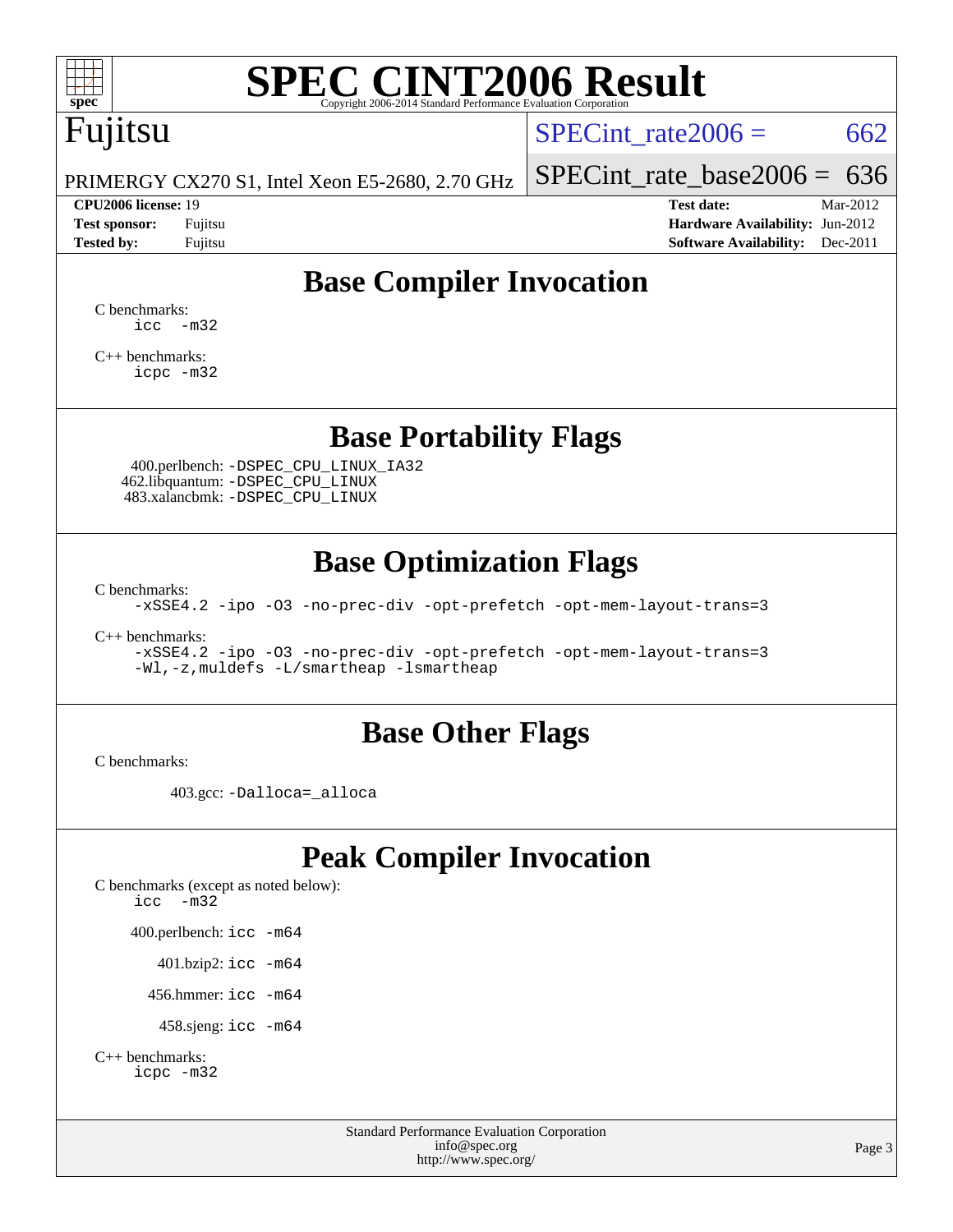

# **[SPEC CINT2006 Result](http://www.spec.org/auto/cpu2006/Docs/result-fields.html#SPECCINT2006Result)**

# Fujitsu

SPECint rate  $2006 = 662$ 

PRIMERGY CX270 S1, Intel Xeon E5-2680, 2.70 GHz

#### **[CPU2006 license:](http://www.spec.org/auto/cpu2006/Docs/result-fields.html#CPU2006license)** 19 **[Test date:](http://www.spec.org/auto/cpu2006/Docs/result-fields.html#Testdate)** Mar-2012

[SPECint\\_rate\\_base2006 =](http://www.spec.org/auto/cpu2006/Docs/result-fields.html#SPECintratebase2006)  $636$ 

**[Test sponsor:](http://www.spec.org/auto/cpu2006/Docs/result-fields.html#Testsponsor)** Fujitsu **[Hardware Availability:](http://www.spec.org/auto/cpu2006/Docs/result-fields.html#HardwareAvailability)** Jun-2012 **[Tested by:](http://www.spec.org/auto/cpu2006/Docs/result-fields.html#Testedby)** Fujitsu **Fugital Example 2011 [Software Availability:](http://www.spec.org/auto/cpu2006/Docs/result-fields.html#SoftwareAvailability)** Dec-2011

# **[Base Compiler Invocation](http://www.spec.org/auto/cpu2006/Docs/result-fields.html#BaseCompilerInvocation)**

[C benchmarks](http://www.spec.org/auto/cpu2006/Docs/result-fields.html#Cbenchmarks):  $\text{icc}$   $-\text{m32}$ 

[C++ benchmarks:](http://www.spec.org/auto/cpu2006/Docs/result-fields.html#CXXbenchmarks) [icpc -m32](http://www.spec.org/cpu2006/results/res2012q3/cpu2006-20120620-23106.flags.html#user_CXXbase_intel_icpc_4e5a5ef1a53fd332b3c49e69c3330699)

## **[Base Portability Flags](http://www.spec.org/auto/cpu2006/Docs/result-fields.html#BasePortabilityFlags)**

 400.perlbench: [-DSPEC\\_CPU\\_LINUX\\_IA32](http://www.spec.org/cpu2006/results/res2012q3/cpu2006-20120620-23106.flags.html#b400.perlbench_baseCPORTABILITY_DSPEC_CPU_LINUX_IA32) 462.libquantum: [-DSPEC\\_CPU\\_LINUX](http://www.spec.org/cpu2006/results/res2012q3/cpu2006-20120620-23106.flags.html#b462.libquantum_baseCPORTABILITY_DSPEC_CPU_LINUX) 483.xalancbmk: [-DSPEC\\_CPU\\_LINUX](http://www.spec.org/cpu2006/results/res2012q3/cpu2006-20120620-23106.flags.html#b483.xalancbmk_baseCXXPORTABILITY_DSPEC_CPU_LINUX)

# **[Base Optimization Flags](http://www.spec.org/auto/cpu2006/Docs/result-fields.html#BaseOptimizationFlags)**

[C benchmarks](http://www.spec.org/auto/cpu2006/Docs/result-fields.html#Cbenchmarks):

[-xSSE4.2](http://www.spec.org/cpu2006/results/res2012q3/cpu2006-20120620-23106.flags.html#user_CCbase_f-xSSE42_f91528193cf0b216347adb8b939d4107) [-ipo](http://www.spec.org/cpu2006/results/res2012q3/cpu2006-20120620-23106.flags.html#user_CCbase_f-ipo) [-O3](http://www.spec.org/cpu2006/results/res2012q3/cpu2006-20120620-23106.flags.html#user_CCbase_f-O3) [-no-prec-div](http://www.spec.org/cpu2006/results/res2012q3/cpu2006-20120620-23106.flags.html#user_CCbase_f-no-prec-div) [-opt-prefetch](http://www.spec.org/cpu2006/results/res2012q3/cpu2006-20120620-23106.flags.html#user_CCbase_f-opt-prefetch) [-opt-mem-layout-trans=3](http://www.spec.org/cpu2006/results/res2012q3/cpu2006-20120620-23106.flags.html#user_CCbase_f-opt-mem-layout-trans_a7b82ad4bd7abf52556d4961a2ae94d5)

[C++ benchmarks:](http://www.spec.org/auto/cpu2006/Docs/result-fields.html#CXXbenchmarks)

[-xSSE4.2](http://www.spec.org/cpu2006/results/res2012q3/cpu2006-20120620-23106.flags.html#user_CXXbase_f-xSSE42_f91528193cf0b216347adb8b939d4107) [-ipo](http://www.spec.org/cpu2006/results/res2012q3/cpu2006-20120620-23106.flags.html#user_CXXbase_f-ipo) [-O3](http://www.spec.org/cpu2006/results/res2012q3/cpu2006-20120620-23106.flags.html#user_CXXbase_f-O3) [-no-prec-div](http://www.spec.org/cpu2006/results/res2012q3/cpu2006-20120620-23106.flags.html#user_CXXbase_f-no-prec-div) [-opt-prefetch](http://www.spec.org/cpu2006/results/res2012q3/cpu2006-20120620-23106.flags.html#user_CXXbase_f-opt-prefetch) [-opt-mem-layout-trans=3](http://www.spec.org/cpu2006/results/res2012q3/cpu2006-20120620-23106.flags.html#user_CXXbase_f-opt-mem-layout-trans_a7b82ad4bd7abf52556d4961a2ae94d5) [-Wl,-z,muldefs](http://www.spec.org/cpu2006/results/res2012q3/cpu2006-20120620-23106.flags.html#user_CXXbase_link_force_multiple1_74079c344b956b9658436fd1b6dd3a8a) [-L/smartheap -lsmartheap](http://www.spec.org/cpu2006/results/res2012q3/cpu2006-20120620-23106.flags.html#user_CXXbase_SmartHeap_7c9e394a5779e1a7fec7c221e123830c)

## **[Base Other Flags](http://www.spec.org/auto/cpu2006/Docs/result-fields.html#BaseOtherFlags)**

[C benchmarks](http://www.spec.org/auto/cpu2006/Docs/result-fields.html#Cbenchmarks):

403.gcc: [-Dalloca=\\_alloca](http://www.spec.org/cpu2006/results/res2012q3/cpu2006-20120620-23106.flags.html#b403.gcc_baseEXTRA_CFLAGS_Dalloca_be3056838c12de2578596ca5467af7f3)

# **[Peak Compiler Invocation](http://www.spec.org/auto/cpu2006/Docs/result-fields.html#PeakCompilerInvocation)**

[C benchmarks \(except as noted below\)](http://www.spec.org/auto/cpu2006/Docs/result-fields.html#Cbenchmarksexceptasnotedbelow): [icc -m32](http://www.spec.org/cpu2006/results/res2012q3/cpu2006-20120620-23106.flags.html#user_CCpeak_intel_icc_5ff4a39e364c98233615fdd38438c6f2) 400.perlbench: [icc -m64](http://www.spec.org/cpu2006/results/res2012q3/cpu2006-20120620-23106.flags.html#user_peakCCLD400_perlbench_intel_icc_64bit_bda6cc9af1fdbb0edc3795bac97ada53) 401.bzip2: [icc -m64](http://www.spec.org/cpu2006/results/res2012q3/cpu2006-20120620-23106.flags.html#user_peakCCLD401_bzip2_intel_icc_64bit_bda6cc9af1fdbb0edc3795bac97ada53)

456.hmmer: [icc -m64](http://www.spec.org/cpu2006/results/res2012q3/cpu2006-20120620-23106.flags.html#user_peakCCLD456_hmmer_intel_icc_64bit_bda6cc9af1fdbb0edc3795bac97ada53)

458.sjeng: [icc -m64](http://www.spec.org/cpu2006/results/res2012q3/cpu2006-20120620-23106.flags.html#user_peakCCLD458_sjeng_intel_icc_64bit_bda6cc9af1fdbb0edc3795bac97ada53)

```
C++ benchmarks: 
icpc -m32
```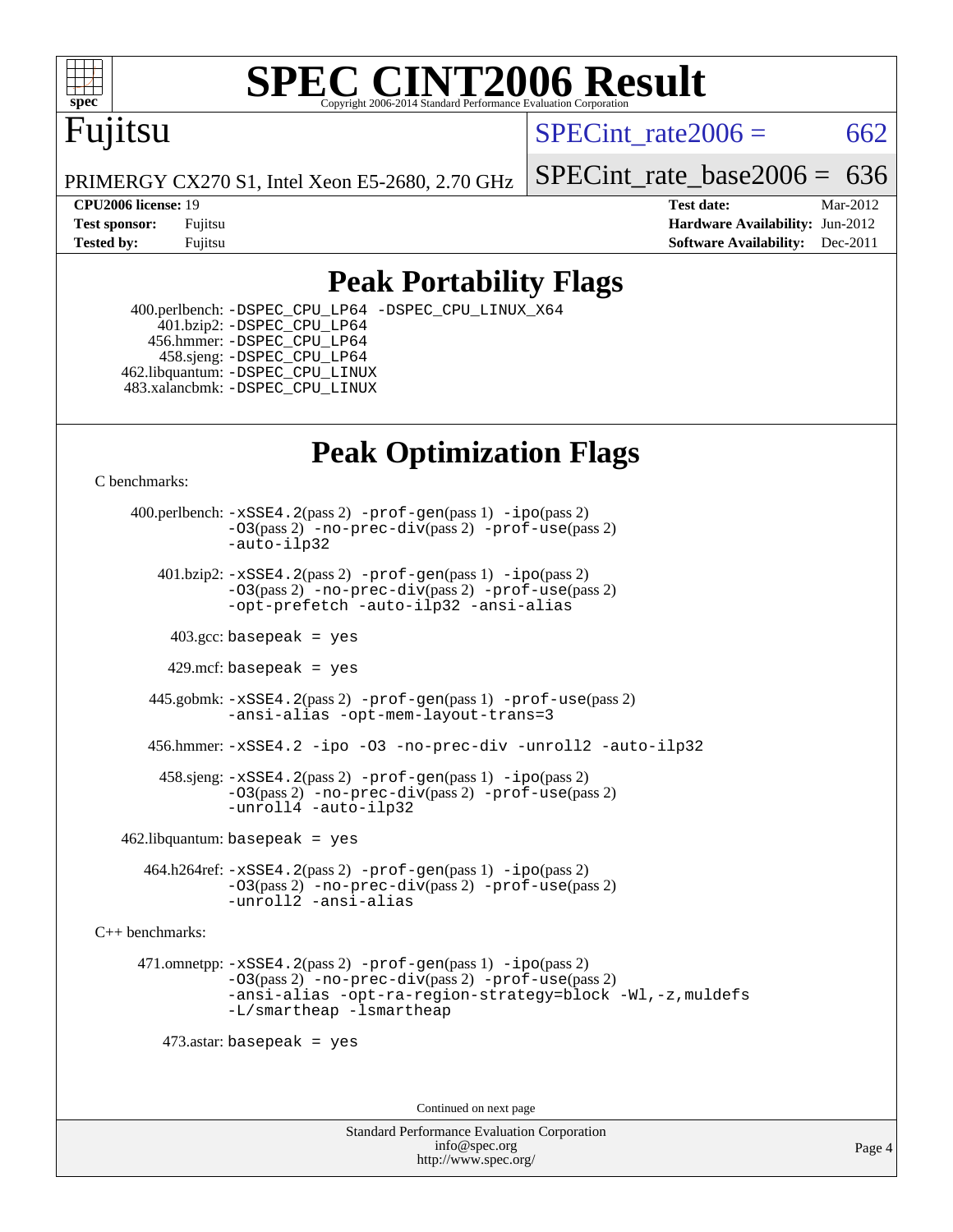

### **[SPEC CINT2006 Result](http://www.spec.org/auto/cpu2006/Docs/result-fields.html#SPECCINT2006Result)** Copyright 2006-2014 Standard Performance Evaluation C

# Fujitsu

SPECint rate  $2006 = 662$ 

PRIMERGY CX270 S1, Intel Xeon E5-2680, 2.70 GHz

**[Tested by:](http://www.spec.org/auto/cpu2006/Docs/result-fields.html#Testedby)** Fujitsu **Fugital Example 2011 [Software Availability:](http://www.spec.org/auto/cpu2006/Docs/result-fields.html#SoftwareAvailability)** Dec-2011

SPECint rate base  $2006 = 636$ 

**[CPU2006 license:](http://www.spec.org/auto/cpu2006/Docs/result-fields.html#CPU2006license)** 19 **[Test date:](http://www.spec.org/auto/cpu2006/Docs/result-fields.html#Testdate)** Mar-2012 **[Test sponsor:](http://www.spec.org/auto/cpu2006/Docs/result-fields.html#Testsponsor)** Fujitsu **[Hardware Availability:](http://www.spec.org/auto/cpu2006/Docs/result-fields.html#HardwareAvailability)** Jun-2012

# **[Peak Portability Flags](http://www.spec.org/auto/cpu2006/Docs/result-fields.html#PeakPortabilityFlags)**

 400.perlbench: [-DSPEC\\_CPU\\_LP64](http://www.spec.org/cpu2006/results/res2012q3/cpu2006-20120620-23106.flags.html#b400.perlbench_peakCPORTABILITY_DSPEC_CPU_LP64) [-DSPEC\\_CPU\\_LINUX\\_X64](http://www.spec.org/cpu2006/results/res2012q3/cpu2006-20120620-23106.flags.html#b400.perlbench_peakCPORTABILITY_DSPEC_CPU_LINUX_X64) 401.bzip2: [-DSPEC\\_CPU\\_LP64](http://www.spec.org/cpu2006/results/res2012q3/cpu2006-20120620-23106.flags.html#suite_peakCPORTABILITY401_bzip2_DSPEC_CPU_LP64) 456.hmmer: [-DSPEC\\_CPU\\_LP64](http://www.spec.org/cpu2006/results/res2012q3/cpu2006-20120620-23106.flags.html#suite_peakCPORTABILITY456_hmmer_DSPEC_CPU_LP64) 458.sjeng: [-DSPEC\\_CPU\\_LP64](http://www.spec.org/cpu2006/results/res2012q3/cpu2006-20120620-23106.flags.html#suite_peakCPORTABILITY458_sjeng_DSPEC_CPU_LP64) 462.libquantum: [-DSPEC\\_CPU\\_LINUX](http://www.spec.org/cpu2006/results/res2012q3/cpu2006-20120620-23106.flags.html#b462.libquantum_peakCPORTABILITY_DSPEC_CPU_LINUX) 483.xalancbmk: [-DSPEC\\_CPU\\_LINUX](http://www.spec.org/cpu2006/results/res2012q3/cpu2006-20120620-23106.flags.html#b483.xalancbmk_peakCXXPORTABILITY_DSPEC_CPU_LINUX)

# **[Peak Optimization Flags](http://www.spec.org/auto/cpu2006/Docs/result-fields.html#PeakOptimizationFlags)**

[C benchmarks](http://www.spec.org/auto/cpu2006/Docs/result-fields.html#Cbenchmarks):

 400.perlbench: [-xSSE4.2](http://www.spec.org/cpu2006/results/res2012q3/cpu2006-20120620-23106.flags.html#user_peakPASS2_CFLAGSPASS2_LDCFLAGS400_perlbench_f-xSSE42_f91528193cf0b216347adb8b939d4107)(pass 2) [-prof-gen](http://www.spec.org/cpu2006/results/res2012q3/cpu2006-20120620-23106.flags.html#user_peakPASS1_CFLAGSPASS1_LDCFLAGS400_perlbench_prof_gen_e43856698f6ca7b7e442dfd80e94a8fc)(pass 1) [-ipo](http://www.spec.org/cpu2006/results/res2012q3/cpu2006-20120620-23106.flags.html#user_peakPASS2_CFLAGSPASS2_LDCFLAGS400_perlbench_f-ipo)(pass 2) [-O3](http://www.spec.org/cpu2006/results/res2012q3/cpu2006-20120620-23106.flags.html#user_peakPASS2_CFLAGSPASS2_LDCFLAGS400_perlbench_f-O3)(pass 2) [-no-prec-div](http://www.spec.org/cpu2006/results/res2012q3/cpu2006-20120620-23106.flags.html#user_peakPASS2_CFLAGSPASS2_LDCFLAGS400_perlbench_f-no-prec-div)(pass 2) [-prof-use](http://www.spec.org/cpu2006/results/res2012q3/cpu2006-20120620-23106.flags.html#user_peakPASS2_CFLAGSPASS2_LDCFLAGS400_perlbench_prof_use_bccf7792157ff70d64e32fe3e1250b55)(pass 2) [-auto-ilp32](http://www.spec.org/cpu2006/results/res2012q3/cpu2006-20120620-23106.flags.html#user_peakCOPTIMIZE400_perlbench_f-auto-ilp32)  $401.bzip2: -xSSE4.2(pass 2) -prof-qen(pass 1) -ipo(pass 2)$  $401.bzip2: -xSSE4.2(pass 2) -prof-qen(pass 1) -ipo(pass 2)$  $401.bzip2: -xSSE4.2(pass 2) -prof-qen(pass 1) -ipo(pass 2)$  $401.bzip2: -xSSE4.2(pass 2) -prof-qen(pass 1) -ipo(pass 2)$  $401.bzip2: -xSSE4.2(pass 2) -prof-qen(pass 1) -ipo(pass 2)$ [-O3](http://www.spec.org/cpu2006/results/res2012q3/cpu2006-20120620-23106.flags.html#user_peakPASS2_CFLAGSPASS2_LDCFLAGS401_bzip2_f-O3)(pass 2) [-no-prec-div](http://www.spec.org/cpu2006/results/res2012q3/cpu2006-20120620-23106.flags.html#user_peakPASS2_CFLAGSPASS2_LDCFLAGS401_bzip2_f-no-prec-div)(pass 2) [-prof-use](http://www.spec.org/cpu2006/results/res2012q3/cpu2006-20120620-23106.flags.html#user_peakPASS2_CFLAGSPASS2_LDCFLAGS401_bzip2_prof_use_bccf7792157ff70d64e32fe3e1250b55)(pass 2) [-opt-prefetch](http://www.spec.org/cpu2006/results/res2012q3/cpu2006-20120620-23106.flags.html#user_peakCOPTIMIZE401_bzip2_f-opt-prefetch) [-auto-ilp32](http://www.spec.org/cpu2006/results/res2012q3/cpu2006-20120620-23106.flags.html#user_peakCOPTIMIZE401_bzip2_f-auto-ilp32) [-ansi-alias](http://www.spec.org/cpu2006/results/res2012q3/cpu2006-20120620-23106.flags.html#user_peakCOPTIMIZE401_bzip2_f-ansi-alias)  $403.\text{sec: basepeak}$  = yes 429.mcf: basepeak = yes 445.gobmk: [-xSSE4.2](http://www.spec.org/cpu2006/results/res2012q3/cpu2006-20120620-23106.flags.html#user_peakPASS2_CFLAGSPASS2_LDCFLAGS445_gobmk_f-xSSE42_f91528193cf0b216347adb8b939d4107)(pass 2) [-prof-gen](http://www.spec.org/cpu2006/results/res2012q3/cpu2006-20120620-23106.flags.html#user_peakPASS1_CFLAGSPASS1_LDCFLAGS445_gobmk_prof_gen_e43856698f6ca7b7e442dfd80e94a8fc)(pass 1) [-prof-use](http://www.spec.org/cpu2006/results/res2012q3/cpu2006-20120620-23106.flags.html#user_peakPASS2_CFLAGSPASS2_LDCFLAGS445_gobmk_prof_use_bccf7792157ff70d64e32fe3e1250b55)(pass 2) [-ansi-alias](http://www.spec.org/cpu2006/results/res2012q3/cpu2006-20120620-23106.flags.html#user_peakCOPTIMIZE445_gobmk_f-ansi-alias) [-opt-mem-layout-trans=3](http://www.spec.org/cpu2006/results/res2012q3/cpu2006-20120620-23106.flags.html#user_peakCOPTIMIZE445_gobmk_f-opt-mem-layout-trans_a7b82ad4bd7abf52556d4961a2ae94d5) 456.hmmer: [-xSSE4.2](http://www.spec.org/cpu2006/results/res2012q3/cpu2006-20120620-23106.flags.html#user_peakCOPTIMIZE456_hmmer_f-xSSE42_f91528193cf0b216347adb8b939d4107) [-ipo](http://www.spec.org/cpu2006/results/res2012q3/cpu2006-20120620-23106.flags.html#user_peakCOPTIMIZE456_hmmer_f-ipo) [-O3](http://www.spec.org/cpu2006/results/res2012q3/cpu2006-20120620-23106.flags.html#user_peakCOPTIMIZE456_hmmer_f-O3) [-no-prec-div](http://www.spec.org/cpu2006/results/res2012q3/cpu2006-20120620-23106.flags.html#user_peakCOPTIMIZE456_hmmer_f-no-prec-div) [-unroll2](http://www.spec.org/cpu2006/results/res2012q3/cpu2006-20120620-23106.flags.html#user_peakCOPTIMIZE456_hmmer_f-unroll_784dae83bebfb236979b41d2422d7ec2) [-auto-ilp32](http://www.spec.org/cpu2006/results/res2012q3/cpu2006-20120620-23106.flags.html#user_peakCOPTIMIZE456_hmmer_f-auto-ilp32) 458.sjeng: [-xSSE4.2](http://www.spec.org/cpu2006/results/res2012q3/cpu2006-20120620-23106.flags.html#user_peakPASS2_CFLAGSPASS2_LDCFLAGS458_sjeng_f-xSSE42_f91528193cf0b216347adb8b939d4107)(pass 2) [-prof-gen](http://www.spec.org/cpu2006/results/res2012q3/cpu2006-20120620-23106.flags.html#user_peakPASS1_CFLAGSPASS1_LDCFLAGS458_sjeng_prof_gen_e43856698f6ca7b7e442dfd80e94a8fc)(pass 1) [-ipo](http://www.spec.org/cpu2006/results/res2012q3/cpu2006-20120620-23106.flags.html#user_peakPASS2_CFLAGSPASS2_LDCFLAGS458_sjeng_f-ipo)(pass 2) [-O3](http://www.spec.org/cpu2006/results/res2012q3/cpu2006-20120620-23106.flags.html#user_peakPASS2_CFLAGSPASS2_LDCFLAGS458_sjeng_f-O3)(pass 2) [-no-prec-div](http://www.spec.org/cpu2006/results/res2012q3/cpu2006-20120620-23106.flags.html#user_peakPASS2_CFLAGSPASS2_LDCFLAGS458_sjeng_f-no-prec-div)(pass 2) [-prof-use](http://www.spec.org/cpu2006/results/res2012q3/cpu2006-20120620-23106.flags.html#user_peakPASS2_CFLAGSPASS2_LDCFLAGS458_sjeng_prof_use_bccf7792157ff70d64e32fe3e1250b55)(pass 2) [-unroll4](http://www.spec.org/cpu2006/results/res2012q3/cpu2006-20120620-23106.flags.html#user_peakCOPTIMIZE458_sjeng_f-unroll_4e5e4ed65b7fd20bdcd365bec371b81f) [-auto-ilp32](http://www.spec.org/cpu2006/results/res2012q3/cpu2006-20120620-23106.flags.html#user_peakCOPTIMIZE458_sjeng_f-auto-ilp32)  $462$ .libquantum: basepeak = yes 464.h264ref: [-xSSE4.2](http://www.spec.org/cpu2006/results/res2012q3/cpu2006-20120620-23106.flags.html#user_peakPASS2_CFLAGSPASS2_LDCFLAGS464_h264ref_f-xSSE42_f91528193cf0b216347adb8b939d4107)(pass 2) [-prof-gen](http://www.spec.org/cpu2006/results/res2012q3/cpu2006-20120620-23106.flags.html#user_peakPASS1_CFLAGSPASS1_LDCFLAGS464_h264ref_prof_gen_e43856698f6ca7b7e442dfd80e94a8fc)(pass 1) [-ipo](http://www.spec.org/cpu2006/results/res2012q3/cpu2006-20120620-23106.flags.html#user_peakPASS2_CFLAGSPASS2_LDCFLAGS464_h264ref_f-ipo)(pass 2) [-O3](http://www.spec.org/cpu2006/results/res2012q3/cpu2006-20120620-23106.flags.html#user_peakPASS2_CFLAGSPASS2_LDCFLAGS464_h264ref_f-O3)(pass 2) [-no-prec-div](http://www.spec.org/cpu2006/results/res2012q3/cpu2006-20120620-23106.flags.html#user_peakPASS2_CFLAGSPASS2_LDCFLAGS464_h264ref_f-no-prec-div)(pass 2) [-prof-use](http://www.spec.org/cpu2006/results/res2012q3/cpu2006-20120620-23106.flags.html#user_peakPASS2_CFLAGSPASS2_LDCFLAGS464_h264ref_prof_use_bccf7792157ff70d64e32fe3e1250b55)(pass 2) [-unroll2](http://www.spec.org/cpu2006/results/res2012q3/cpu2006-20120620-23106.flags.html#user_peakCOPTIMIZE464_h264ref_f-unroll_784dae83bebfb236979b41d2422d7ec2) [-ansi-alias](http://www.spec.org/cpu2006/results/res2012q3/cpu2006-20120620-23106.flags.html#user_peakCOPTIMIZE464_h264ref_f-ansi-alias) [C++ benchmarks:](http://www.spec.org/auto/cpu2006/Docs/result-fields.html#CXXbenchmarks)

 471.omnetpp: [-xSSE4.2](http://www.spec.org/cpu2006/results/res2012q3/cpu2006-20120620-23106.flags.html#user_peakPASS2_CXXFLAGSPASS2_LDCXXFLAGS471_omnetpp_f-xSSE42_f91528193cf0b216347adb8b939d4107)(pass 2) [-prof-gen](http://www.spec.org/cpu2006/results/res2012q3/cpu2006-20120620-23106.flags.html#user_peakPASS1_CXXFLAGSPASS1_LDCXXFLAGS471_omnetpp_prof_gen_e43856698f6ca7b7e442dfd80e94a8fc)(pass 1) [-ipo](http://www.spec.org/cpu2006/results/res2012q3/cpu2006-20120620-23106.flags.html#user_peakPASS2_CXXFLAGSPASS2_LDCXXFLAGS471_omnetpp_f-ipo)(pass 2) [-O3](http://www.spec.org/cpu2006/results/res2012q3/cpu2006-20120620-23106.flags.html#user_peakPASS2_CXXFLAGSPASS2_LDCXXFLAGS471_omnetpp_f-O3)(pass 2) [-no-prec-div](http://www.spec.org/cpu2006/results/res2012q3/cpu2006-20120620-23106.flags.html#user_peakPASS2_CXXFLAGSPASS2_LDCXXFLAGS471_omnetpp_f-no-prec-div)(pass 2) [-prof-use](http://www.spec.org/cpu2006/results/res2012q3/cpu2006-20120620-23106.flags.html#user_peakPASS2_CXXFLAGSPASS2_LDCXXFLAGS471_omnetpp_prof_use_bccf7792157ff70d64e32fe3e1250b55)(pass 2) [-ansi-alias](http://www.spec.org/cpu2006/results/res2012q3/cpu2006-20120620-23106.flags.html#user_peakCXXOPTIMIZE471_omnetpp_f-ansi-alias) [-opt-ra-region-strategy=block](http://www.spec.org/cpu2006/results/res2012q3/cpu2006-20120620-23106.flags.html#user_peakCXXOPTIMIZE471_omnetpp_f-opt-ra-region-strategy_a0a37c372d03933b2a18d4af463c1f69) [-Wl,-z,muldefs](http://www.spec.org/cpu2006/results/res2012q3/cpu2006-20120620-23106.flags.html#user_peakEXTRA_LDFLAGS471_omnetpp_link_force_multiple1_74079c344b956b9658436fd1b6dd3a8a) [-L/smartheap -lsmartheap](http://www.spec.org/cpu2006/results/res2012q3/cpu2006-20120620-23106.flags.html#user_peakEXTRA_LIBS471_omnetpp_SmartHeap_7c9e394a5779e1a7fec7c221e123830c)

473.astar: basepeak = yes

Continued on next page

Standard Performance Evaluation Corporation [info@spec.org](mailto:info@spec.org) <http://www.spec.org/>